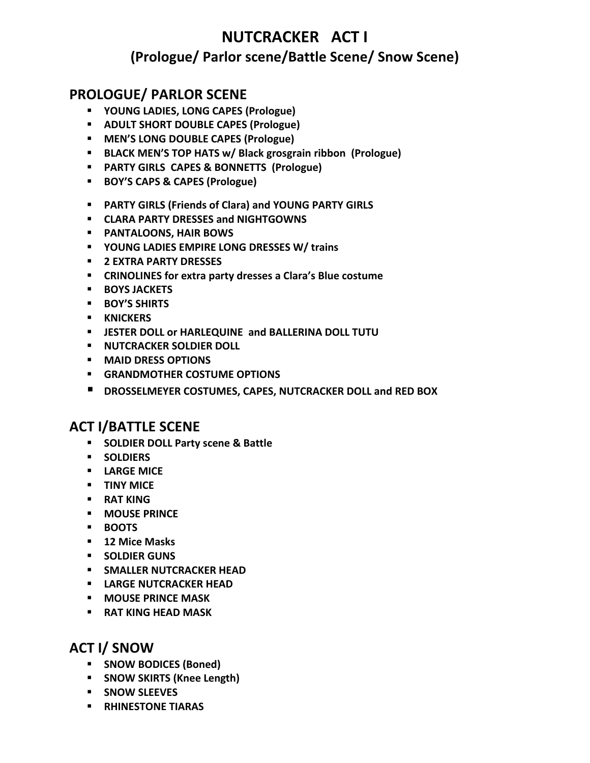# **NUTCRACKER ACT I (Prologue/ Parlor scene/Battle Scene/ Snow Scene)**

# **PROLOGUE/ PARLOR SCENE**

- **YOUNG LADIES, LONG CAPES (Prologue)**
- **ADULT SHORT DOUBLE CAPES (Prologue)**
- **MEN'S LONG DOUBLE CAPES (Prologue)**
- **BLACK MEN'S TOP HATS w/ Black grosgrain ribbon (Prologue)**
- **PARTY GIRLS CAPES & BONNETTS (Prologue)**
- **BOY'S CAPS & CAPES (Prologue)**
- **PARTY GIRLS (Friends of Clara) and YOUNG PARTY GIRLS**
- **CLARA PARTY DRESSES and NIGHTGOWNS**
- **PANTALOONS, HAIR BOWS**
- **YOUNG LADIES EMPIRE LONG DRESSES W/ trains**
- **2 EXTRA PARTY DRESSES**
- **CRINOLINES for extra party dresses a Clara's Blue costume**
- **BOYS JACKETS**
- **BOY'S SHIRTS**
- **KNICKERS**
- **JESTER DOLL or HARLEQUINE and BALLERINA DOLL TUTU**
- **E** NUTCRACKER SOLDIER DOLL
- **MAID DRESS OPTIONS**
- **GRANDMOTHER COSTUME OPTIONS**
- **DROSSELMEYER COSTUMES, CAPES, NUTCRACKER DOLL and RED BOX**

# **ACT I/BATTLE SCENE**

- **SOLDIER DOLL Party scene & Battle**
- **SOLDIERS**
- **LARGE MICE**
- **TINY MICE**
- **RAT KING**
- **MOUSE PRINCE**
- **BOOTS**
- **12 Mice Masks**
- **SOLDIER GUNS**
- **SMALLER NUTCRACKER HEAD**
- **LARGE NUTCRACKER HEAD**
- **MOUSE PRINCE MASK**
- **RAT KING HEAD MASK**

# **ACT I/ SNOW**

- **SNOW BODICES (Boned)**
- **SNOW SKIRTS (Knee Length)**
- **SNOW SLEEVES**
- **RHINESTONE TIARAS**